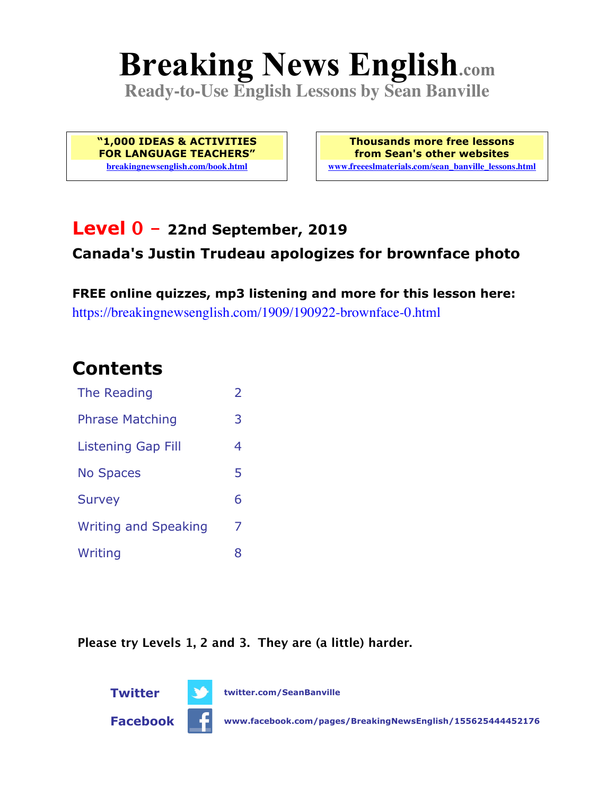# **Breaking News English.com**

**Ready-to-Use English Lessons by Sean Banville**

**"1,000 IDEAS & ACTIVITIES FOR LANGUAGE TEACHERS" breakingnewsenglish.com/book.html**

**Thousands more free lessons from Sean's other websites www.freeeslmaterials.com/sean\_banville\_lessons.html**

#### **Level 0 - 22nd September, 2019 Canada's Justin Trudeau apologizes for brownface photo**

**FREE online quizzes, mp3 listening and more for this lesson here:** https://breakingnewsenglish.com/1909/190922-brownface-0.html

### **Contents**

| The Reading                 | $\overline{2}$ |
|-----------------------------|----------------|
| <b>Phrase Matching</b>      |                |
| <b>Listening Gap Fill</b>   | 4              |
| <b>No Spaces</b>            | 5              |
| <b>Survey</b>               | 6              |
| <b>Writing and Speaking</b> | 7              |
| Writing                     | 8              |

**Please try Levels 1, 2 and 3. They are (a little) harder.**



**Facebook www.facebook.com/pages/BreakingNewsEnglish/155625444452176**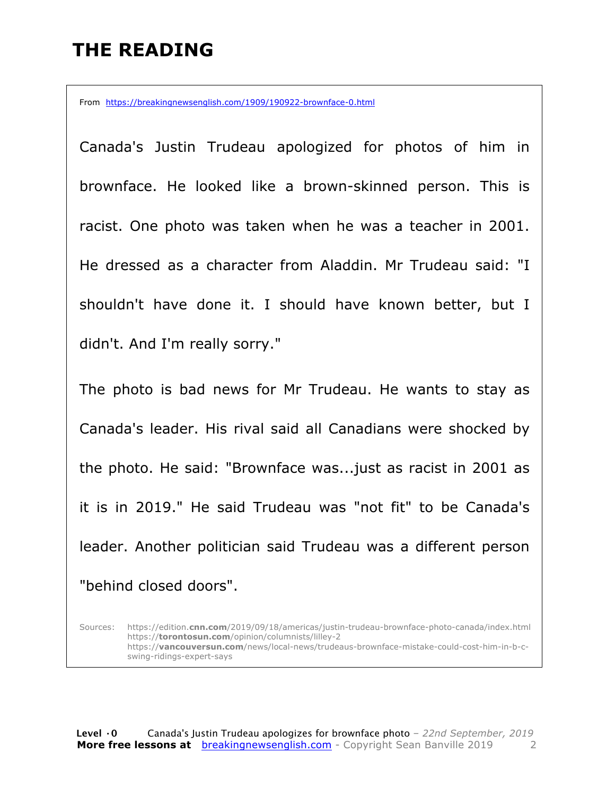#### **THE READING**

From https://breakingnewsenglish.com/1909/190922-brownface-0.html

Canada's Justin Trudeau apologized for photos of him in brownface. He looked like a brown-skinned person. This is racist. One photo was taken when he was a teacher in 2001. He dressed as a character from Aladdin. Mr Trudeau said: "I shouldn't have done it. I should have known better, but I didn't. And I'm really sorry."

The photo is bad news for Mr Trudeau. He wants to stay as Canada's leader. His rival said all Canadians were shocked by the photo. He said: "Brownface was...just as racist in 2001 as it is in 2019." He said Trudeau was "not fit" to be Canada's leader. Another politician said Trudeau was a different person "behind closed doors".

Sources: https://edition.**cnn.com**/2019/09/18/americas/justin-trudeau-brownface-photo-canada/index.html https://**torontosun.com**/opinion/columnists/lilley-2 https://**vancouversun.com**/news/local-news/trudeaus-brownface-mistake-could-cost-him-in-b-cswing-ridings-expert-says

**Level ·0** Canada's Justin Trudeau apologizes for brownface photo *– 22nd September, 2019* **More free lessons at** breakingnewsenglish.com - Copyright Sean Banville 2019 2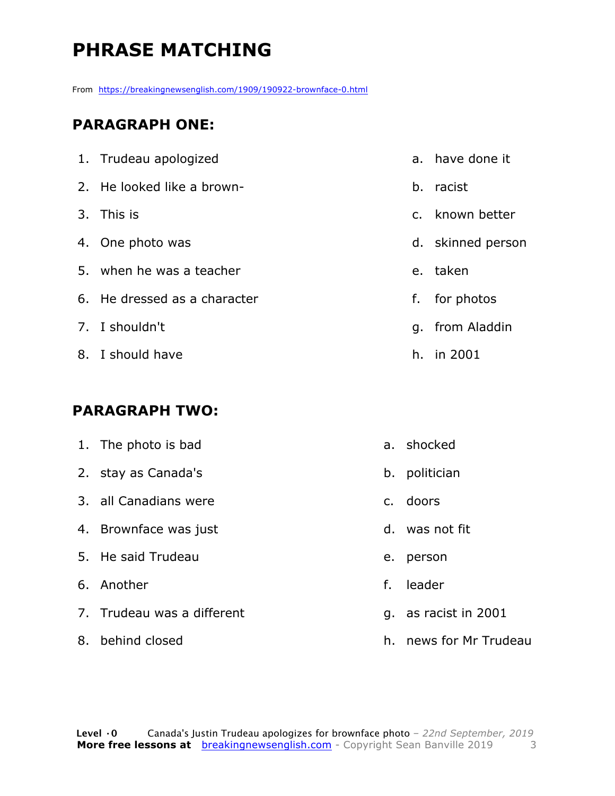## **PHRASE MATCHING**

From https://breakingnewsenglish.com/1909/190922-brownface-0.html

#### **PARAGRAPH ONE:**

| 1. Trudeau apologized        |    | a. have done it   |
|------------------------------|----|-------------------|
| 2. He looked like a brown-   | b. | racist            |
| 3. This is                   |    | c. known better   |
| 4. One photo was             |    | d. skinned person |
| 5. when he was a teacher     |    | e. taken          |
| 6. He dressed as a character | f. | for photos        |
| 7. I shouldn't               |    | g. from Aladdin   |
| 8. I should have             |    | h. in 2001        |

#### **PARAGRAPH TWO:**

| 1. The photo is bad        |    | a. shocked           |
|----------------------------|----|----------------------|
| 2. stay as Canada's        |    | b. politician        |
| 3. all Canadians were      |    | c. doors             |
| 4. Brownface was just      |    | d. was not fit       |
| 5. He said Trudeau         | e. | person               |
| 6. Another                 | f. | leader               |
| 7. Trudeau was a different |    | g. as racist in 2001 |
|                            |    |                      |

8. behind closed

h. news for Mr Trudeau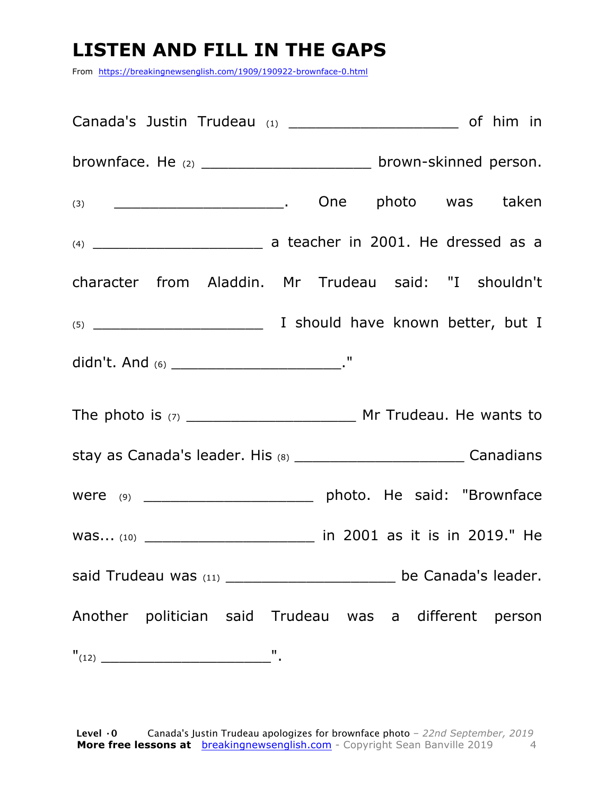### **LISTEN AND FILL IN THE GAPS**

From https://breakingnewsenglish.com/1909/190922-brownface-0.html

| brownface. He (2) ________________________ brown-skinned person.           |  |  |  |
|----------------------------------------------------------------------------|--|--|--|
|                                                                            |  |  |  |
|                                                                            |  |  |  |
| character from Aladdin. Mr Trudeau said: "I shouldn't                      |  |  |  |
|                                                                            |  |  |  |
| didn't. And (6) _______________________________."                          |  |  |  |
|                                                                            |  |  |  |
| stay as Canada's leader. His (8) ________________________________Canadians |  |  |  |
|                                                                            |  |  |  |
| was (10) _______________________________ in 2001 as it is in 2019." He     |  |  |  |
| said Trudeau was (11) ___________________________ be Canada's leader.      |  |  |  |
| Another politician said Trudeau was a different person                     |  |  |  |
|                                                                            |  |  |  |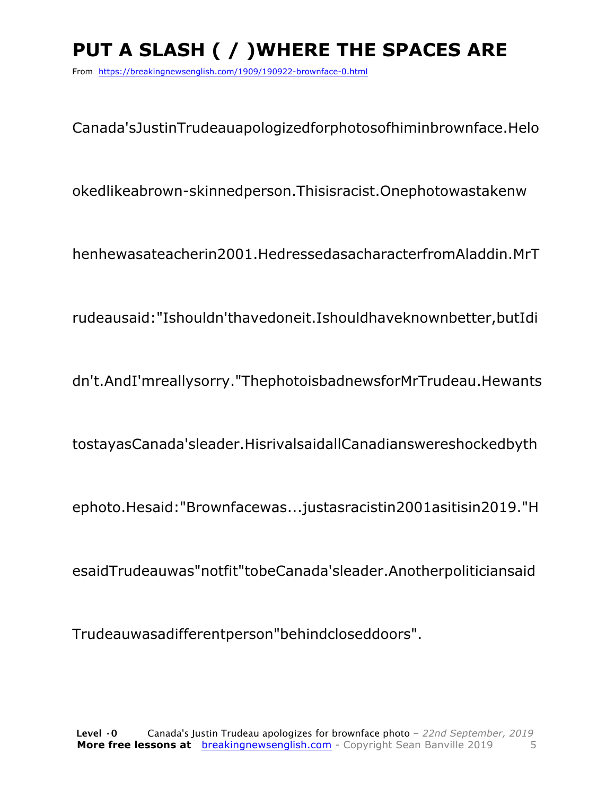## **PUT A SLASH ( / )WHERE THE SPACES ARE**

From https://breakingnewsenglish.com/1909/190922-brownface-0.html

Canada'sJustinTrudeauapologizedforphotosofhiminbrownface.Helo

okedlikeabrown-skinnedperson.Thisisracist.Onephotowastakenw

henhewasateacherin2001.HedressedasacharacterfromAladdin.MrT

rudeausaid:"Ishouldn'thavedoneit.Ishouldhaveknownbetter,butIdi

dn't.AndI'mreallysorry."ThephotoisbadnewsforMrTrudeau.Hewants

tostayasCanada'sleader.HisrivalsaidallCanadianswereshockedbyth

ephoto.Hesaid:"Brownfacewas...justasracistin2001asitisin2019."H

esaidTrudeauwas"notfit"tobeCanada'sleader.Anotherpoliticiansaid

Trudeauwasadifferentperson"behindcloseddoors".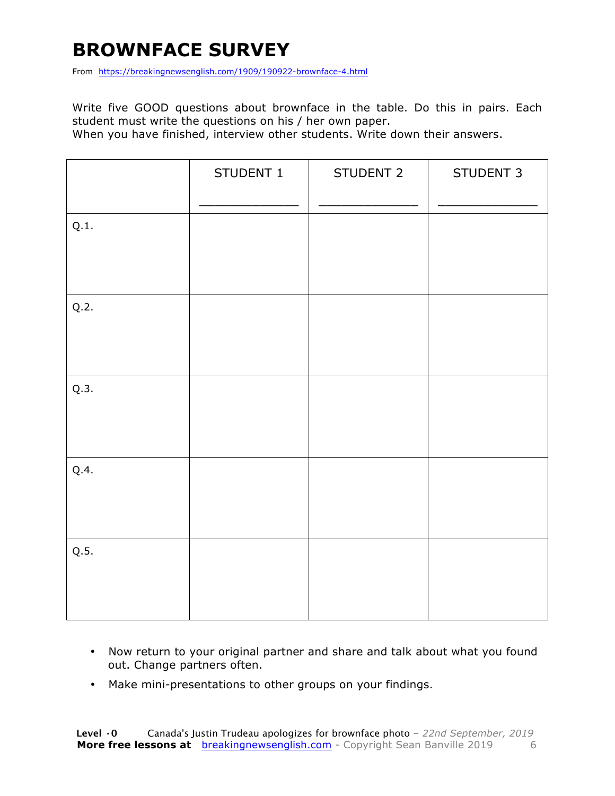### **BROWNFACE SURVEY**

From https://breakingnewsenglish.com/1909/190922-brownface-4.html

Write five GOOD questions about brownface in the table. Do this in pairs. Each student must write the questions on his / her own paper.

When you have finished, interview other students. Write down their answers.

|      | STUDENT 1 | STUDENT 2 | STUDENT 3 |
|------|-----------|-----------|-----------|
| Q.1. |           |           |           |
| Q.2. |           |           |           |
| Q.3. |           |           |           |
| Q.4. |           |           |           |
| Q.5. |           |           |           |

- Now return to your original partner and share and talk about what you found out. Change partners often.
- Make mini-presentations to other groups on your findings.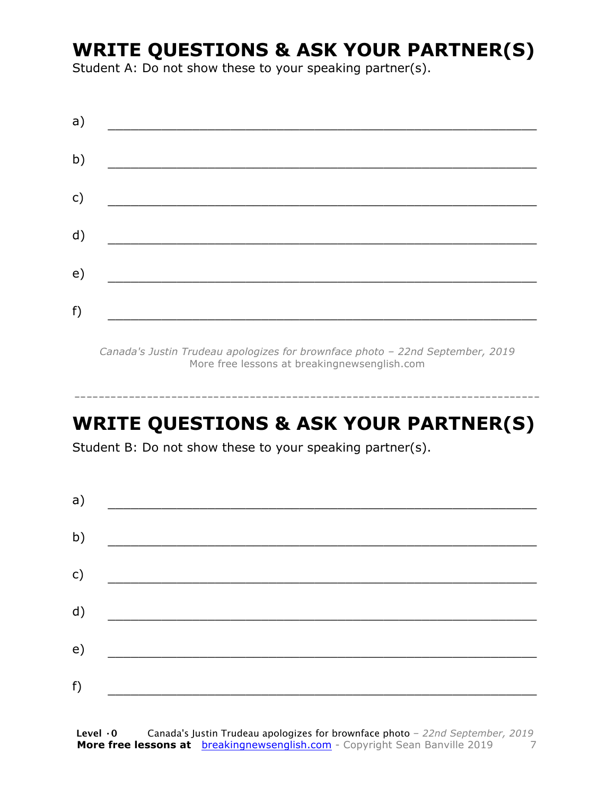#### **WRITE QUESTIONS & ASK YOUR PARTNER(S)**

Student A: Do not show these to your speaking partner(s).

| a)            |  |  |
|---------------|--|--|
| b)            |  |  |
| $\mathsf{c})$ |  |  |
| d)            |  |  |
| e)            |  |  |
| f)            |  |  |

*Canada's Justin Trudeau apologizes for brownface photo – 22nd September, 2019* More free lessons at breakingnewsenglish.com

-----------------------------------------------------------------------------

### **WRITE QUESTIONS & ASK YOUR PARTNER(S)**

Student B: Do not show these to your speaking partner(s).

| a) |  |  |
|----|--|--|
| b) |  |  |
| c) |  |  |
| d) |  |  |
| e) |  |  |
| f) |  |  |
|    |  |  |

**Level ·0** Canada's Justin Trudeau apologizes for brownface photo *– 22nd September, 2019* **More free lessons at** breakingnewsenglish.com - Copyright Sean Banville 2019 7